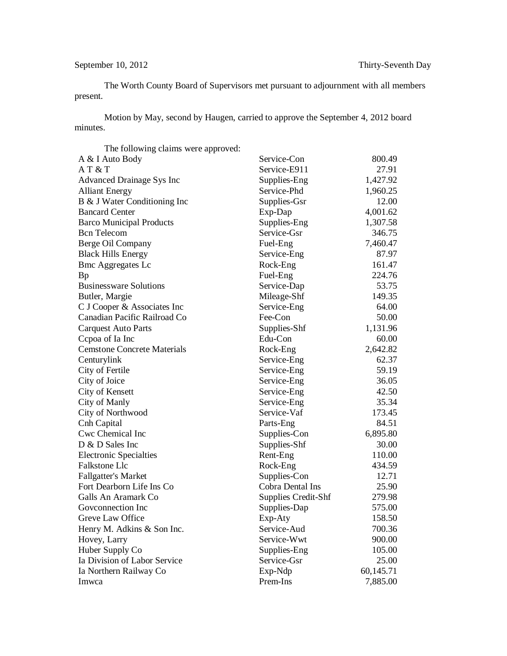## September 10, 2012 Thirty-Seventh Day

The Worth County Board of Supervisors met pursuant to adjournment with all members present.

Motion by May, second by Haugen, carried to approve the September 4, 2012 board minutes.

| The following claims were approved: |                            |           |
|-------------------------------------|----------------------------|-----------|
| A & I Auto Body                     | Service-Con                | 800.49    |
| AT&T                                | Service-E911               | 27.91     |
| Advanced Drainage Sys Inc           | Supplies-Eng               | 1,427.92  |
| <b>Alliant Energy</b>               | Service-Phd                | 1,960.25  |
| B & J Water Conditioning Inc        | Supplies-Gsr               | 12.00     |
| <b>Bancard Center</b>               | Exp-Dap                    | 4,001.62  |
| <b>Barco Municipal Products</b>     | Supplies-Eng               | 1,307.58  |
| <b>Bcn</b> Telecom                  | Service-Gsr                | 346.75    |
| Berge Oil Company                   | Fuel-Eng                   | 7,460.47  |
| <b>Black Hills Energy</b>           | Service-Eng                | 87.97     |
| <b>Bmc Aggregates Lc</b>            | Rock-Eng                   | 161.47    |
| Bp                                  | Fuel-Eng                   | 224.76    |
| <b>Businessware Solutions</b>       | Service-Dap                | 53.75     |
| Butler, Margie                      | Mileage-Shf                | 149.35    |
| C J Cooper & Associates Inc         | Service-Eng                | 64.00     |
| Canadian Pacific Railroad Co        | Fee-Con                    | 50.00     |
| <b>Carquest Auto Parts</b>          | Supplies-Shf               | 1,131.96  |
| Cepoa of Ia Inc                     | Edu-Con                    | 60.00     |
| <b>Cemstone Concrete Materials</b>  | Rock-Eng                   | 2,642.82  |
| Centurylink                         | Service-Eng                | 62.37     |
| City of Fertile                     | Service-Eng                | 59.19     |
| City of Joice                       | Service-Eng                | 36.05     |
| City of Kensett                     | Service-Eng                | 42.50     |
| City of Manly                       | Service-Eng                | 35.34     |
| City of Northwood                   | Service-Vaf                | 173.45    |
| Cnh Capital                         | Parts-Eng                  | 84.51     |
| Cwc Chemical Inc                    | Supplies-Con               | 6,895.80  |
| D & D Sales Inc                     | Supplies-Shf               | 30.00     |
| <b>Electronic Specialties</b>       | Rent-Eng                   | 110.00    |
| Falkstone Llc                       | Rock-Eng                   | 434.59    |
| <b>Fallgatter's Market</b>          | Supplies-Con               | 12.71     |
| Fort Dearborn Life Ins Co           | Cobra Dental Ins           | 25.90     |
| Galls An Aramark Co                 | <b>Supplies Credit-Shf</b> | 279.98    |
| Goveonnection Inc                   | Supplies-Dap               | 575.00    |
| Greve Law Office                    | Exp-Aty                    | 158.50    |
| Henry M. Adkins & Son Inc.          | Service-Aud                | 700.36    |
| Hovey, Larry                        | Service-Wwt                | 900.00    |
| Huber Supply Co                     | Supplies-Eng               | 105.00    |
| Ia Division of Labor Service        | Service-Gsr                | 25.00     |
| Ia Northern Railway Co              | Exp-Ndp                    | 60,145.71 |
| Imwca                               | Prem-Ins                   | 7,885.00  |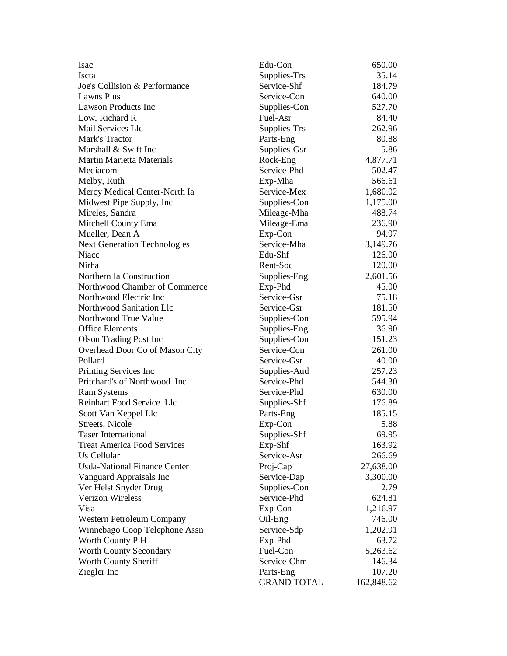| Isac<br>Edu-Con                                    | 650.00     |
|----------------------------------------------------|------------|
| <b>Iscta</b><br>Supplies-Trs                       | 35.14      |
| Service-Shf<br>Joe's Collision & Performance       | 184.79     |
| Lawns Plus<br>Service-Con                          | 640.00     |
| Lawson Products Inc<br>Supplies-Con                | 527.70     |
| Low, Richard R<br>Fuel-Asr                         | 84.40      |
| Mail Services Llc<br>Supplies-Trs                  | 262.96     |
| Mark's Tractor<br>Parts-Eng                        | 80.88      |
| Marshall & Swift Inc<br>Supplies-Gsr               | 15.86      |
| <b>Martin Marietta Materials</b><br>Rock-Eng       | 4,877.71   |
| Service-Phd<br>Mediacom                            | 502.47     |
| Melby, Ruth<br>Exp-Mha                             | 566.61     |
| Mercy Medical Center-North Ia<br>Service-Mex       | 1,680.02   |
| Supplies-Con<br>Midwest Pipe Supply, Inc.          | 1,175.00   |
| Mireles, Sandra<br>Mileage-Mha                     | 488.74     |
| Mileage-Ema<br>Mitchell County Ema                 | 236.90     |
| Exp-Con<br>Mueller, Dean A                         | 94.97      |
| Service-Mha<br><b>Next Generation Technologies</b> | 3,149.76   |
| Niacc<br>Edu-Shf                                   | 126.00     |
| Nirha<br>Rent-Soc                                  | 120.00     |
| Northern Ia Construction<br>Supplies-Eng           | 2,601.56   |
| Northwood Chamber of Commerce<br>Exp-Phd           | 45.00      |
| Northwood Electric Inc<br>Service-Gsr              | 75.18      |
| Northwood Sanitation Llc<br>Service-Gsr            | 181.50     |
| Northwood True Value<br>Supplies-Con               | 595.94     |
| <b>Office Elements</b><br>Supplies-Eng             | 36.90      |
| <b>Olson Trading Post Inc</b><br>Supplies-Con      | 151.23     |
| Overhead Door Co of Mason City<br>Service-Con      | 261.00     |
| Pollard<br>Service-Gsr                             | 40.00      |
| Printing Services Inc<br>Supplies-Aud              | 257.23     |
| Pritchard's of Northwood Inc<br>Service-Phd        | 544.30     |
| <b>Ram Systems</b><br>Service-Phd                  | 630.00     |
| Reinhart Food Service Llc<br>Supplies-Shf          | 176.89     |
| Parts-Eng<br>Scott Van Keppel Llc                  | 185.15     |
| Exp-Con<br>Streets, Nicole                         | 5.88       |
| <b>Taser International</b><br>Supplies-Shf         | 69.95      |
| <b>Treat America Food Services</b><br>Exp-Shf      | 163.92     |
| Us Cellular<br>Service-Asr                         | 266.69     |
| <b>Usda-National Finance Center</b><br>Proj-Cap    | 27,638.00  |
| Vanguard Appraisals Inc<br>Service-Dap             | 3,300.00   |
| Ver Helst Snyder Drug<br>Supplies-Con              | 2.79       |
| Verizon Wireless<br>Service-Phd                    | 624.81     |
| Visa<br>Exp-Con                                    | 1,216.97   |
| Western Petroleum Company<br>Oil-Eng               | 746.00     |
| Winnebago Coop Telephone Assn<br>Service-Sdp       | 1,202.91   |
| Worth County P H<br>Exp-Phd                        | 63.72      |
| Fuel-Con<br>Worth County Secondary                 | 5,263.62   |
| Worth County Sheriff<br>Service-Chm                | 146.34     |
| Ziegler Inc<br>Parts-Eng                           | 107.20     |
| <b>GRAND TOTAL</b>                                 | 162,848.62 |